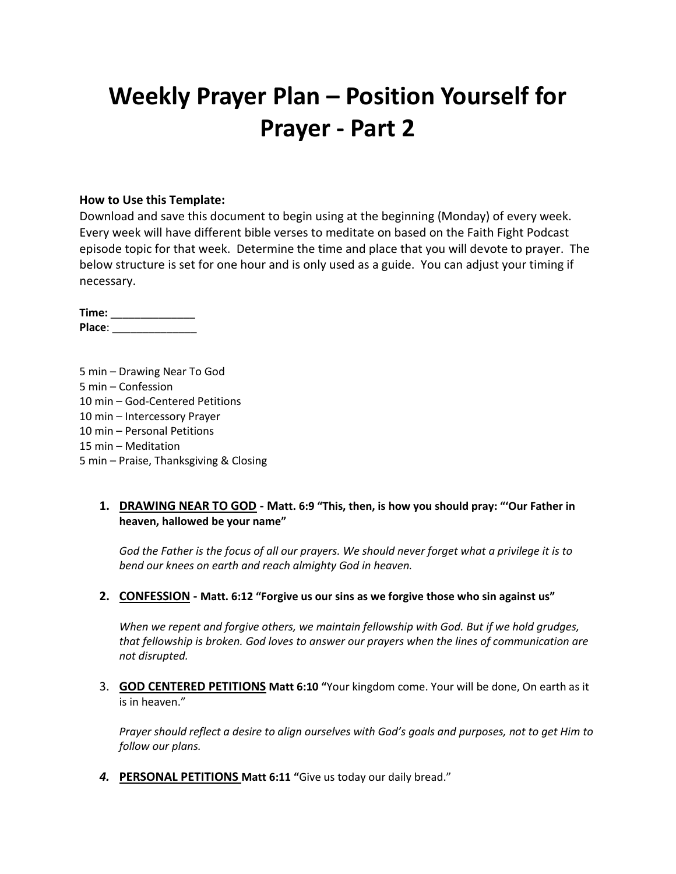# **Weekly Prayer Plan – Position Yourself for Prayer - Part 2**

#### **How to Use this Template:**

Download and save this document to begin using at the beginning (Monday) of every week. Every week will have different bible verses to meditate on based on the Faith Fight Podcast episode topic for that week. Determine the time and place that you will devote to prayer. The below structure is set for one hour and is only used as a guide. You can adjust your timing if necessary.

**Time:** \_\_\_\_\_\_\_\_\_\_\_\_\_\_ **Place**: \_\_\_\_\_\_\_\_\_\_\_\_\_\_

5 min – Drawing Near To God 5 min – Confession 10 min – God-Centered Petitions 10 min – Intercessory Prayer 10 min – Personal Petitions 15 min – Meditation 5 min – Praise, Thanksgiving & Closing

### **1. DRAWING NEAR TO GOD - Matt. 6:9 "This, then, is how you should pray: "'Our Father in heaven, hallowed be your name"**

*God the Father is the focus of all our prayers. We should never forget what a privilege it is to bend our knees on earth and reach almighty God in heaven.*

#### **2. CONFESSION - Matt. 6:12 "Forgive us our sins as we forgive those who sin against us"**

*When we repent and forgive others, we maintain fellowship with God. But if we hold grudges, that fellowship is broken. God loves to answer our prayers when the lines of communication are not disrupted.*

3. **GOD CENTERED PETITIONS Matt 6:10 "**Your kingdom come. Your will be done, On earth as it is in heaven."

*Prayer should reflect a desire to align ourselves with God's goals and purposes, not to get Him to follow our plans.*

*4.* **PERSONAL PETITIONS Matt 6:11 "**Give us today our daily bread."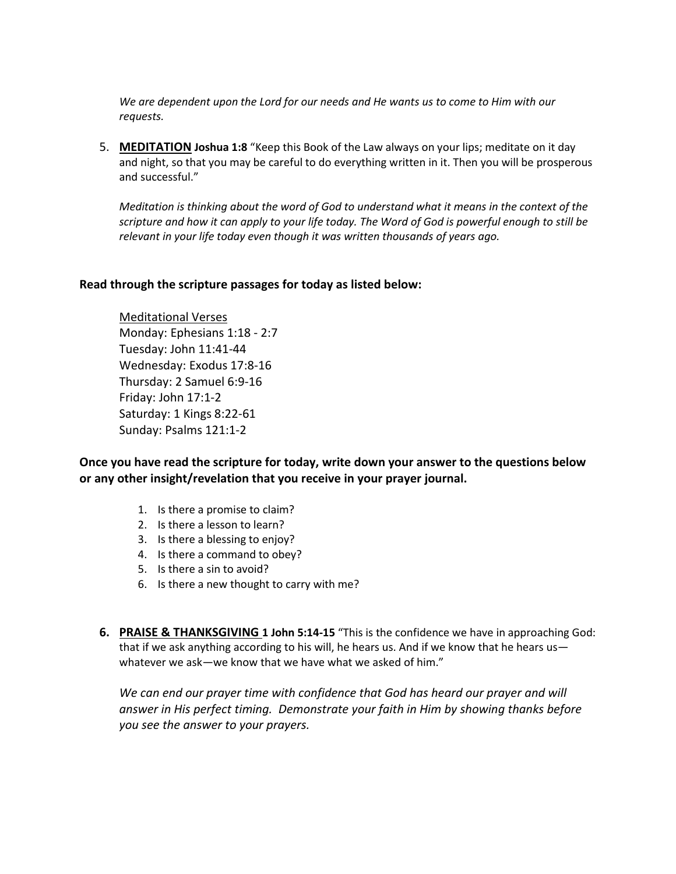*We are dependent upon the Lord for our needs and He wants us to come to Him with our requests.*

5. **MEDITATION Joshua 1:8** "Keep this Book of the Law always on your lips; meditate on it day and night, so that you may be careful to do everything written in it. Then you will be prosperous and successful."

*Meditation is thinking about the word of God to understand what it means in the context of the scripture and how it can apply to your life today. The Word of God is powerful enough to still be relevant in your life today even though it was written thousands of years ago.*

#### **Read through the scripture passages for today as listed below:**

Meditational Verses Monday: Ephesians 1:18 - 2:7 Tuesday: John 11:41-44 Wednesday: Exodus 17:8-16 Thursday: 2 Samuel 6:9-16 Friday: John 17:1-2 Saturday: 1 Kings 8:22-61 Sunday: Psalms 121:1-2

**Once you have read the scripture for today, write down your answer to the questions below or any other insight/revelation that you receive in your prayer journal.** 

- 1. Is there a promise to claim?
- 2. Is there a lesson to learn?
- 3. Is there a blessing to enjoy?
- 4. Is there a command to obey?
- 5. Is there a sin to avoid?
- 6. Is there a new thought to carry with me?
- **6. PRAISE & THANKSGIVING 1 John 5:14-15** "This is the confidence we have in approaching God: that if we ask anything according to his will, he hears us. And if we know that he hears us whatever we ask—we know that we have what we asked of him."

*We can end our prayer time with confidence that God has heard our prayer and will answer in His perfect timing. Demonstrate your faith in Him by showing thanks before you see the answer to your prayers.*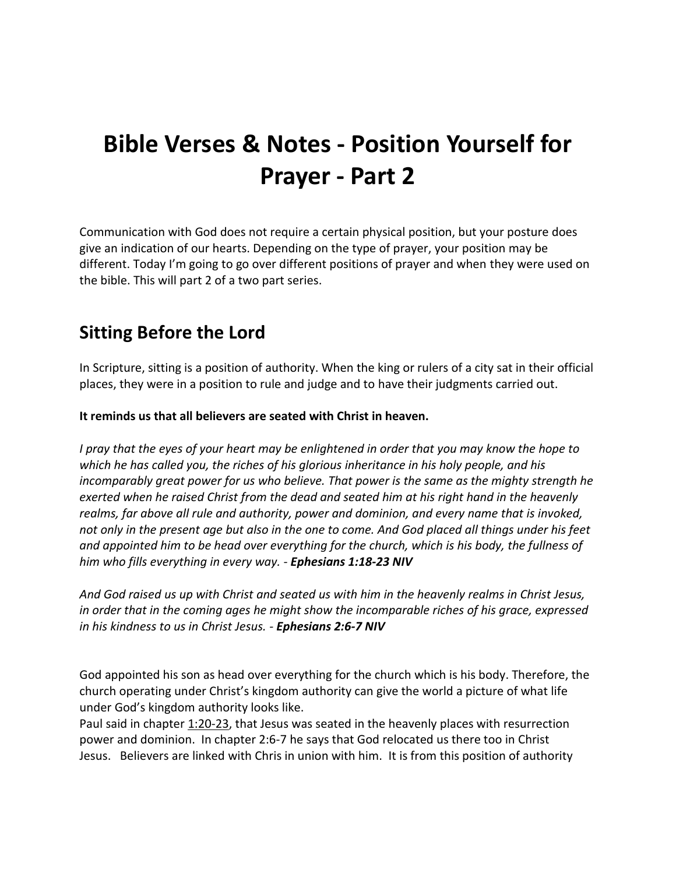# **Bible Verses & Notes - Position Yourself for Prayer - Part 2**

Communication with God does not require a certain physical position, but your posture does give an indication of our hearts. Depending on the type of prayer, your position may be different. Today I'm going to go over different positions of prayer and when they were used on the bible. This will part 2 of a two part series.

## **Sitting Before the Lord**

In Scripture, sitting is a position of authority. When the king or rulers of a city sat in their official places, they were in a position to rule and judge and to have their judgments carried out.

### **It reminds us that all believers are seated with Christ in heaven.**

*I pray that the eyes of your heart may be enlightened in order that you may know the hope to which he has called you, the riches of his glorious inheritance in his holy people, and his incomparably great power for us who believe. That power is the same as the mighty strength he exerted when he raised Christ from the dead and seated him at his right hand in the heavenly realms, far above all rule and authority, power and dominion, and every name that is invoked, not only in the present age but also in the one to come. And God placed all things under his feet and appointed him to be head over everything for the church, which is his body, the fullness of him who fills everything in every way. - Ephesians 1:18-23 NIV*

*And God raised us up with Christ and seated us with him in the heavenly realms in Christ Jesus, in order that in the coming ages he might show the incomparable riches of his grace, expressed in his kindness to us in Christ Jesus. - Ephesians 2:6-7 NIV*

God appointed his son as head over everything for the church which is his body. Therefore, the church operating under Christ's kingdom authority can give the world a picture of what life under God's kingdom authority looks like.

Paul said in chapter 1:20-23, that Jesus was seated in the heavenly places with resurrection power and dominion. In chapter 2:6-7 he says that God relocated us there too in Christ Jesus. Believers are linked with Chris in union with him. It is from this position of authority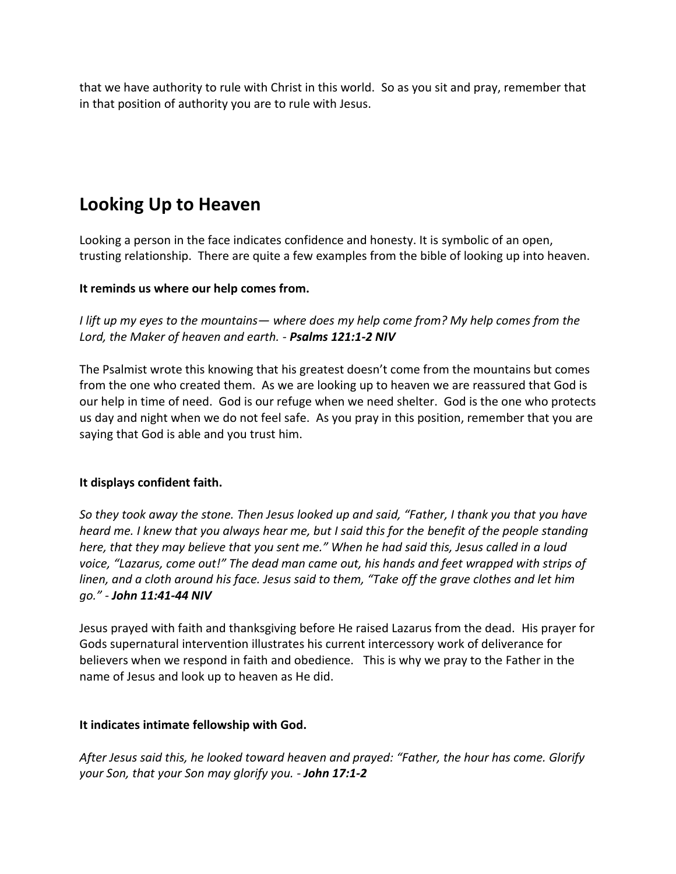that we have authority to rule with Christ in this world. So as you sit and pray, remember that in that position of authority you are to rule with Jesus.

# **Looking Up to Heaven**

Looking a person in the face indicates confidence and honesty. It is symbolic of an open, trusting relationship. There are quite a few examples from the bible of looking up into heaven.

### **It reminds us where our help comes from.**

*I lift up my eyes to the mountains— where does my help come from? My help comes from the Lord, the Maker of heaven and earth. - Psalms 121:1-2 NIV*

The Psalmist wrote this knowing that his greatest doesn't come from the mountains but comes from the one who created them. As we are looking up to heaven we are reassured that God is our help in time of need. God is our refuge when we need shelter. God is the one who protects us day and night when we do not feel safe. As you pray in this position, remember that you are saying that God is able and you trust him.

### **It displays confident faith.**

*So they took away the stone. Then Jesus looked up and said, "Father, I thank you that you have heard me. I knew that you always hear me, but I said this for the benefit of the people standing here, that they may believe that you sent me." When he had said this, Jesus called in a loud voice, "Lazarus, come out!" The dead man came out, his hands and feet wrapped with strips of linen, and a cloth around his face. Jesus said to them, "Take off the grave clothes and let him go." - John 11:41-44 NIV*

Jesus prayed with faith and thanksgiving before He raised Lazarus from the dead. His prayer for Gods supernatural intervention illustrates his current intercessory work of deliverance for believers when we respond in faith and obedience. This is why we pray to the Father in the name of Jesus and look up to heaven as He did.

### **It indicates intimate fellowship with God.**

*After Jesus said this, he looked toward heaven and prayed: "Father, the hour has come. Glorify your Son, that your Son may glorify you. - John 17:1-2*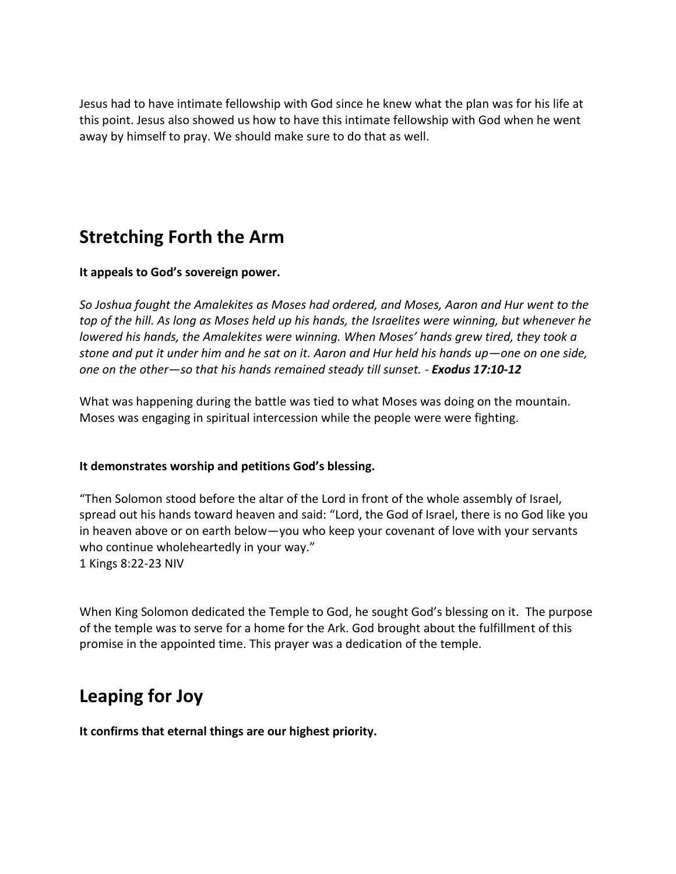Jesus had to have intimate fellowship with God since he knew what the plan was for his life at this point. Jesus also showed us how to have this intimate fellowship with God when he went away by himself to pray. We should make sure to do that as well.

## **Stretching Forth the Arm**

### **It appeals to God's sovereign power.**

*So Joshua fought the Amalekites as Moses had ordered, and Moses, Aaron and Hur went to the top of the hill. As long as Moses held up his hands, the Israelites were winning, but whenever he lowered his hands, the Amalekites were winning. When Moses' hands grew tired, they took a stone and put it under him and he sat on it. Aaron and Hur held his hands up—one on one side, one on the other—so that his hands remained steady till sunset. - Exodus 17:10-12*

What was happening during the battle was tied to what Moses was doing on the mountain. Moses was engaging in spiritual intercession while the people were were fighting.

### **It demonstrates worship and petitions God's blessing.**

"Then Solomon stood before the altar of the Lord in front of the whole assembly of Israel, spread out his hands toward heaven and said: "Lord, the God of Israel, there is no God like you in heaven above or on earth below—you who keep your covenant of love with your servants who continue wholeheartedly in your way." 1 Kings 8:22-23 NIV

When King Solomon dedicated the Temple to God, he sought God's blessing on it. The purpose of the temple was to serve for a home for the Ark. God brought about the fulfillment of this promise in the appointed time. This prayer was a dedication of the temple.

## **Leaping for Joy**

**It confirms that eternal things are our highest priority.**